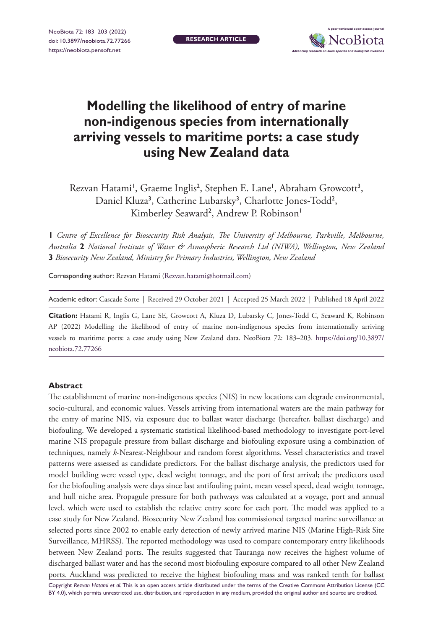

# **Modelling the likelihood of entry of marine non-indigenous species from internationally arriving vessels to maritime ports: a case study using New Zealand data**

Rezvan Hatami', Graeme Inglis<sup>2</sup>, Stephen E. Lane', Abraham Growcott<sup>3</sup>, Daniel Kluza<sup>3</sup>, Catherine Lubarsky<sup>3</sup>, Charlotte Jones-Todd<sup>2</sup>, Kimberley Seaward<sup>2</sup>, Andrew P. Robinson<sup>1</sup>

**1** *Centre of Excellence for Biosecurity Risk Analysis, The University of Melbourne, Parkville, Melbourne, Australia* **2** *National Institute of Water & Atmospheric Research Ltd (NIWA), Wellington, New Zealand*  **3** *Biosecurity New Zealand, Ministry for Primary Industries, Wellington, New Zealand*

Corresponding author: Rezvan Hatami ([Rezvan.hatami@hotmail.com\)](mailto:Rezvan.hatami@hotmail.com)

Academic editor: Cascade Sorte | Received 29 October 2021 | Accepted 25 March 2022 | Published 18 April 2022

**Citation:** Hatami R, Inglis G, Lane SE, Growcott A, Kluza D, Lubarsky C, Jones-Todd C, Seaward K, Robinson AP (2022) Modelling the likelihood of entry of marine non-indigenous species from internationally arriving vessels to maritime ports: a case study using New Zealand data. NeoBiota 72: 183–203. [https://doi.org/10.3897/](https://doi.org/10.3897/neobiota.72.77266) [neobiota.72.77266](https://doi.org/10.3897/neobiota.72.77266)

#### **Abstract**

The establishment of marine non-indigenous species (NIS) in new locations can degrade environmental, socio-cultural, and economic values. Vessels arriving from international waters are the main pathway for the entry of marine NIS, via exposure due to ballast water discharge (hereafter, ballast discharge) and biofouling. We developed a systematic statistical likelihood-based methodology to investigate port-level marine NIS propagule pressure from ballast discharge and biofouling exposure using a combination of techniques, namely *k*-Nearest-Neighbour and random forest algorithms. Vessel characteristics and travel patterns were assessed as candidate predictors. For the ballast discharge analysis, the predictors used for model building were vessel type, dead weight tonnage, and the port of first arrival; the predictors used for the biofouling analysis were days since last antifouling paint, mean vessel speed, dead weight tonnage, and hull niche area. Propagule pressure for both pathways was calculated at a voyage, port and annual level, which were used to establish the relative entry score for each port. The model was applied to a case study for New Zealand. Biosecurity New Zealand has commissioned targeted marine surveillance at selected ports since 2002 to enable early detection of newly arrived marine NIS (Marine High-Risk Site Surveillance, MHRSS). The reported methodology was used to compare contemporary entry likelihoods between New Zealand ports. The results suggested that Tauranga now receives the highest volume of discharged ballast water and has the second most biofouling exposure compared to all other New Zealand ports. Auckland was predicted to receive the highest biofouling mass and was ranked tenth for ballast

Copyright *Rezvan Hatami et al.* This is an open access article distributed under the terms of the [Creative Commons Attribution License \(CC](http://creativecommons.org/licenses/by/4.0/)  [BY 4.0\)](http://creativecommons.org/licenses/by/4.0/), which permits unrestricted use, distribution, and reproduction in any medium, provided the original author and source are credited.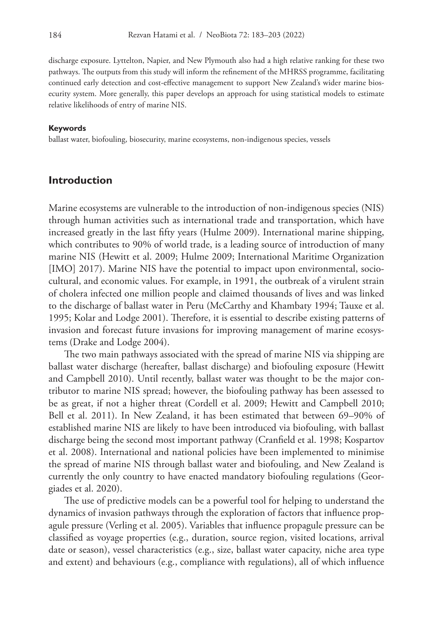discharge exposure. Lyttelton, Napier, and New Plymouth also had a high relative ranking for these two pathways. The outputs from this study will inform the refinement of the MHRSS programme, facilitating continued early detection and cost-effective management to support New Zealand's wider marine biosecurity system. More generally, this paper develops an approach for using statistical models to estimate relative likelihoods of entry of marine NIS.

#### **Keywords**

ballast water, biofouling, biosecurity, marine ecosystems, non-indigenous species, vessels

#### **Introduction**

Marine ecosystems are vulnerable to the introduction of non-indigenous species (NIS) through human activities such as international trade and transportation, which have increased greatly in the last fifty years (Hulme 2009). International marine shipping, which contributes to 90% of world trade, is a leading source of introduction of many marine NIS (Hewitt et al. 2009; Hulme 2009; International Maritime Organization [IMO] 2017). Marine NIS have the potential to impact upon environmental, sociocultural, and economic values. For example, in 1991, the outbreak of a virulent strain of cholera infected one million people and claimed thousands of lives and was linked to the discharge of ballast water in Peru (McCarthy and Khambaty 1994; Tauxe et al. 1995; Kolar and Lodge 2001). Therefore, it is essential to describe existing patterns of invasion and forecast future invasions for improving management of marine ecosystems (Drake and Lodge 2004).

The two main pathways associated with the spread of marine NIS via shipping are ballast water discharge (hereafter, ballast discharge) and biofouling exposure (Hewitt and Campbell 2010). Until recently, ballast water was thought to be the major contributor to marine NIS spread; however, the biofouling pathway has been assessed to be as great, if not a higher threat (Cordell et al. 2009; Hewitt and Campbell 2010; Bell et al. 2011). In New Zealand, it has been estimated that between 69–90% of established marine NIS are likely to have been introduced via biofouling, with ballast discharge being the second most important pathway (Cranfield et al. 1998; Kospartov et al. 2008). International and national policies have been implemented to minimise the spread of marine NIS through ballast water and biofouling, and New Zealand is currently the only country to have enacted mandatory biofouling regulations (Georgiades et al. 2020).

The use of predictive models can be a powerful tool for helping to understand the dynamics of invasion pathways through the exploration of factors that influence propagule pressure (Verling et al. 2005). Variables that influence propagule pressure can be classified as voyage properties (e.g., duration, source region, visited locations, arrival date or season), vessel characteristics (e.g., size, ballast water capacity, niche area type and extent) and behaviours (e.g., compliance with regulations), all of which influence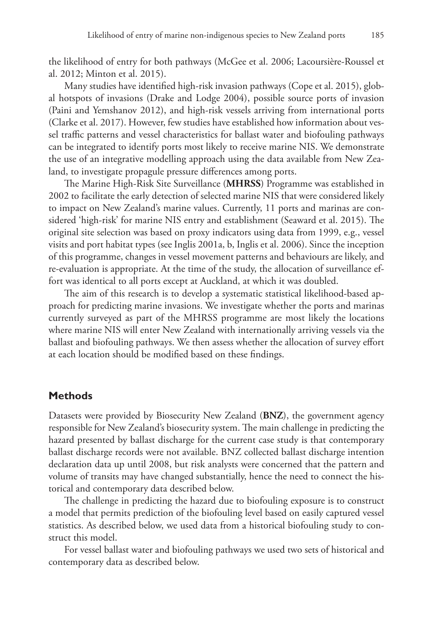the likelihood of entry for both pathways (McGee et al. 2006; Lacoursière-Roussel et al. 2012; Minton et al. 2015).

Many studies have identified high-risk invasion pathways (Cope et al. 2015), global hotspots of invasions (Drake and Lodge 2004), possible source ports of invasion (Paini and Yemshanov 2012), and high-risk vessels arriving from international ports (Clarke et al. 2017). However, few studies have established how information about vessel traffic patterns and vessel characteristics for ballast water and biofouling pathways can be integrated to identify ports most likely to receive marine NIS. We demonstrate the use of an integrative modelling approach using the data available from New Zealand, to investigate propagule pressure differences among ports.

The Marine High-Risk Site Surveillance (**MHRSS**) Programme was established in 2002 to facilitate the early detection of selected marine NIS that were considered likely to impact on New Zealand's marine values. Currently, 11 ports and marinas are considered 'high-risk' for marine NIS entry and establishment (Seaward et al. 2015). The original site selection was based on proxy indicators using data from 1999, e.g., vessel visits and port habitat types (see Inglis 2001a, b, Inglis et al. 2006). Since the inception of this programme, changes in vessel movement patterns and behaviours are likely, and re-evaluation is appropriate. At the time of the study, the allocation of surveillance effort was identical to all ports except at Auckland, at which it was doubled.

The aim of this research is to develop a systematic statistical likelihood-based approach for predicting marine invasions. We investigate whether the ports and marinas currently surveyed as part of the MHRSS programme are most likely the locations where marine NIS will enter New Zealand with internationally arriving vessels via the ballast and biofouling pathways. We then assess whether the allocation of survey effort at each location should be modified based on these findings.

### **Methods**

Datasets were provided by Biosecurity New Zealand (**BNZ**), the government agency responsible for New Zealand's biosecurity system. The main challenge in predicting the hazard presented by ballast discharge for the current case study is that contemporary ballast discharge records were not available. BNZ collected ballast discharge intention declaration data up until 2008, but risk analysts were concerned that the pattern and volume of transits may have changed substantially, hence the need to connect the historical and contemporary data described below.

The challenge in predicting the hazard due to biofouling exposure is to construct a model that permits prediction of the biofouling level based on easily captured vessel statistics. As described below, we used data from a historical biofouling study to construct this model.

For vessel ballast water and biofouling pathways we used two sets of historical and contemporary data as described below.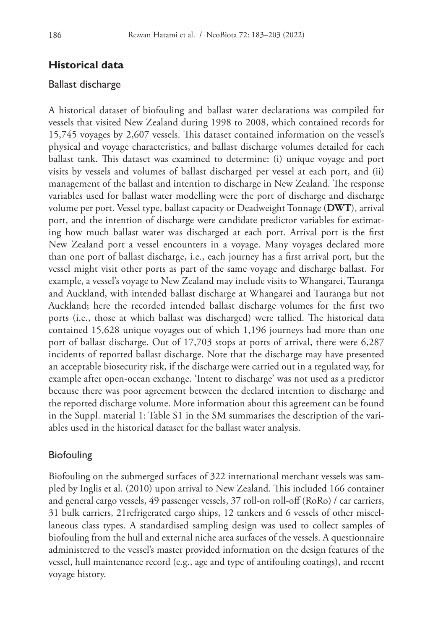## **Historical data**

#### Ballast discharge

A historical dataset of biofouling and ballast water declarations was compiled for vessels that visited New Zealand during 1998 to 2008, which contained records for 15,745 voyages by 2,607 vessels. This dataset contained information on the vessel's physical and voyage characteristics, and ballast discharge volumes detailed for each ballast tank. This dataset was examined to determine: (i) unique voyage and port visits by vessels and volumes of ballast discharged per vessel at each port, and (ii) management of the ballast and intention to discharge in New Zealand. The response variables used for ballast water modelling were the port of discharge and discharge volume per port. Vessel type, ballast capacity or Deadweight Tonnage (**DWT**), arrival port, and the intention of discharge were candidate predictor variables for estimating how much ballast water was discharged at each port. Arrival port is the first New Zealand port a vessel encounters in a voyage. Many voyages declared more than one port of ballast discharge, i.e., each journey has a first arrival port, but the vessel might visit other ports as part of the same voyage and discharge ballast. For example, a vessel's voyage to New Zealand may include visits to Whangarei, Tauranga and Auckland, with intended ballast discharge at Whangarei and Tauranga but not Auckland; here the recorded intended ballast discharge volumes for the first two ports (i.e., those at which ballast was discharged) were tallied. The historical data contained 15,628 unique voyages out of which 1,196 journeys had more than one port of ballast discharge. Out of 17,703 stops at ports of arrival, there were 6,287 incidents of reported ballast discharge. Note that the discharge may have presented an acceptable biosecurity risk, if the discharge were carried out in a regulated way, for example after open-ocean exchange. 'Intent to discharge' was not used as a predictor because there was poor agreement between the declared intention to discharge and the reported discharge volume. More information about this agreement can be found in the Suppl. material 1: Table S1 in the SM summarises the description of the variables used in the historical dataset for the ballast water analysis.

#### Biofouling

Biofouling on the submerged surfaces of 322 international merchant vessels was sampled by Inglis et al. (2010) upon arrival to New Zealand. This included 166 container and general cargo vessels, 49 passenger vessels, 37 roll-on roll-off (RoRo) / car carriers, 31 bulk carriers, 21refrigerated cargo ships, 12 tankers and 6 vessels of other miscellaneous class types. A standardised sampling design was used to collect samples of biofouling from the hull and external niche area surfaces of the vessels. A questionnaire administered to the vessel's master provided information on the design features of the vessel, hull maintenance record (e.g., age and type of antifouling coatings), and recent voyage history.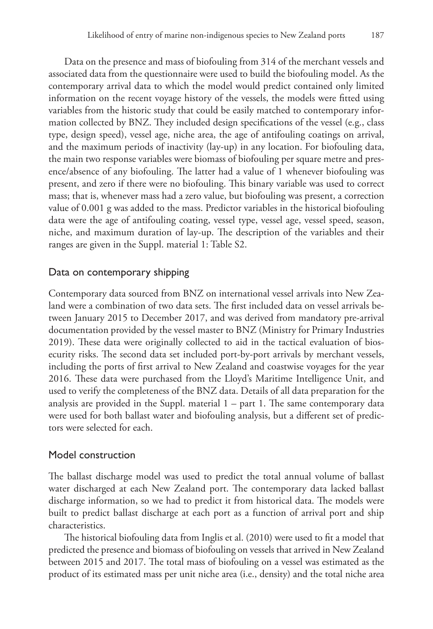Data on the presence and mass of biofouling from 314 of the merchant vessels and associated data from the questionnaire were used to build the biofouling model. As the contemporary arrival data to which the model would predict contained only limited information on the recent voyage history of the vessels, the models were fitted using variables from the historic study that could be easily matched to contemporary information collected by BNZ. They included design specifications of the vessel (e.g., class type, design speed), vessel age, niche area, the age of antifouling coatings on arrival, and the maximum periods of inactivity (lay-up) in any location. For biofouling data, the main two response variables were biomass of biofouling per square metre and presence/absence of any biofouling. The latter had a value of 1 whenever biofouling was present, and zero if there were no biofouling. This binary variable was used to correct mass; that is, whenever mass had a zero value, but biofouling was present, a correction value of 0.001 g was added to the mass. Predictor variables in the historical biofouling data were the age of antifouling coating, vessel type, vessel age, vessel speed, season, niche, and maximum duration of lay-up. The description of the variables and their ranges are given in the Suppl. material 1: Table S2.

### Data on contemporary shipping

Contemporary data sourced from BNZ on international vessel arrivals into New Zealand were a combination of two data sets. The first included data on vessel arrivals between January 2015 to December 2017, and was derived from mandatory pre-arrival documentation provided by the vessel master to BNZ (Ministry for Primary Industries 2019). These data were originally collected to aid in the tactical evaluation of biosecurity risks. The second data set included port-by-port arrivals by merchant vessels, including the ports of first arrival to New Zealand and coastwise voyages for the year 2016. These data were purchased from the Lloyd's Maritime Intelligence Unit, and used to verify the completeness of the BNZ data. Details of all data preparation for the analysis are provided in the Suppl. material  $1 - part 1$ . The same contemporary data were used for both ballast water and biofouling analysis, but a different set of predictors were selected for each.

#### Model construction

The ballast discharge model was used to predict the total annual volume of ballast water discharged at each New Zealand port. The contemporary data lacked ballast discharge information, so we had to predict it from historical data. The models were built to predict ballast discharge at each port as a function of arrival port and ship characteristics.

The historical biofouling data from Inglis et al. (2010) were used to fit a model that predicted the presence and biomass of biofouling on vessels that arrived in New Zealand between 2015 and 2017. The total mass of biofouling on a vessel was estimated as the product of its estimated mass per unit niche area (i.e., density) and the total niche area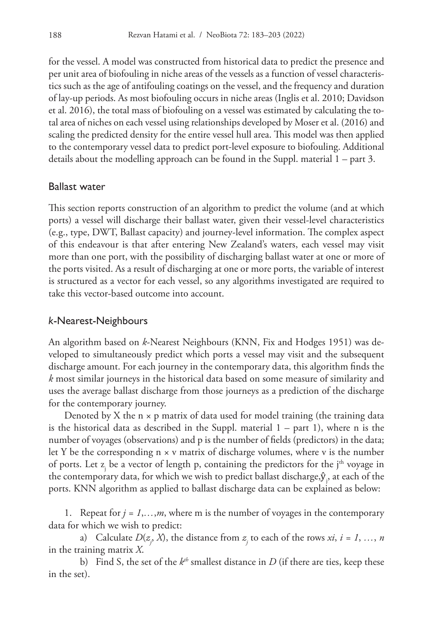for the vessel. A model was constructed from historical data to predict the presence and per unit area of biofouling in niche areas of the vessels as a function of vessel characteristics such as the age of antifouling coatings on the vessel, and the frequency and duration of lay-up periods. As most biofouling occurs in niche areas (Inglis et al. 2010; Davidson et al. 2016), the total mass of biofouling on a vessel was estimated by calculating the total area of niches on each vessel using relationships developed by Moser et al. (2016) and scaling the predicted density for the entire vessel hull area. This model was then applied to the contemporary vessel data to predict port-level exposure to biofouling. Additional details about the modelling approach can be found in the Suppl. material 1 – part 3.

#### Ballast water

This section reports construction of an algorithm to predict the volume (and at which ports) a vessel will discharge their ballast water, given their vessel-level characteristics (e.g., type, DWT, Ballast capacity) and journey-level information. The complex aspect of this endeavour is that after entering New Zealand's waters, each vessel may visit more than one port, with the possibility of discharging ballast water at one or more of the ports visited. As a result of discharging at one or more ports, the variable of interest is structured as a vector for each vessel, so any algorithms investigated are required to take this vector-based outcome into account.

### *k*-Nearest-Neighbours

An algorithm based on *k*-Nearest Neighbours (KNN, Fix and Hodges 1951) was developed to simultaneously predict which ports a vessel may visit and the subsequent discharge amount. For each journey in the contemporary data, this algorithm finds the *k* most similar journeys in the historical data based on some measure of similarity and uses the average ballast discharge from those journeys as a prediction of the discharge for the contemporary journey.

Denoted by X the  $n \times p$  matrix of data used for model training (the training data is the historical data as described in the Suppl. material  $1 - part 1$ , where n is the number of voyages (observations) and p is the number of fields (predictors) in the data; let Y be the corresponding  $n \times v$  matrix of discharge volumes, where v is the number of ports. Let  $z_j$  be a vector of length p, containing the predictors for the j<sup>th</sup> voyage in the contemporary data, for which we wish to predict ballast discharge, $\hat{\textbf{y}}_{j}$ , at each of the ports. KNN algorithm as applied to ballast discharge data can be explained as below:

1. Repeat for  $j = 1,...,m$ , where m is the number of voyages in the contemporary data for which we wish to predict:

a) Calculate  $D(z_j, X)$ , the distance from  $z_j$  to each of the rows  $xi$ ,  $i = 1, ..., n$ in the training matrix *X*.

b) Find S, the set of the  $k^{th}$  smallest distance in  $D$  (if there are ties, keep these in the set).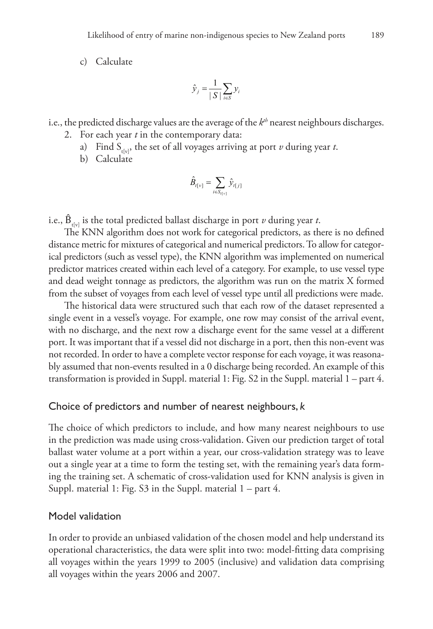c) Calculate

$$
\hat{\mathcal{Y}}_j = \frac{1}{|S|} \sum_{i \in S} \mathcal{Y}_i
$$

i.e., the predicted discharge values are the average of the  $k<sup>th</sup>$  nearest neighbours discharges.

- 2. For each year *t* in the contemporary data:
	- a) Find  $S_{\text{triv}}$ , the set of all voyages arriving at port *v* during year *t*.
	- b) Calculate

$$
\hat{B}_{t[v]} = \sum_{i \in S_{t[v]}} \hat{y}_{t[j]}
$$

i.e.,  $\hat{B}_{\text{rel}}$  is the total predicted ballast discharge in port *v* during year *t*.

The KNN algorithm does not work for categorical predictors, as there is no defined distance metric for mixtures of categorical and numerical predictors. To allow for categorical predictors (such as vessel type), the KNN algorithm was implemented on numerical predictor matrices created within each level of a category. For example, to use vessel type and dead weight tonnage as predictors, the algorithm was run on the matrix X formed from the subset of voyages from each level of vessel type until all predictions were made.

The historical data were structured such that each row of the dataset represented a single event in a vessel's voyage. For example, one row may consist of the arrival event, with no discharge, and the next row a discharge event for the same vessel at a different port. It was important that if a vessel did not discharge in a port, then this non-event was not recorded. In order to have a complete vector response for each voyage, it was reasonably assumed that non-events resulted in a 0 discharge being recorded. An example of this transformation is provided in Suppl. material 1: Fig. S2 in the Suppl. material 1 – part 4.

### Choice of predictors and number of nearest neighbours, *k*

The choice of which predictors to include, and how many nearest neighbours to use in the prediction was made using cross-validation. Given our prediction target of total ballast water volume at a port within a year, our cross-validation strategy was to leave out a single year at a time to form the testing set, with the remaining year's data forming the training set. A schematic of cross-validation used for KNN analysis is given in Suppl. material 1: Fig. S3 in the Suppl. material 1 – part 4.

#### Model validation

In order to provide an unbiased validation of the chosen model and help understand its operational characteristics, the data were split into two: model-fitting data comprising all voyages within the years 1999 to 2005 (inclusive) and validation data comprising all voyages within the years 2006 and 2007.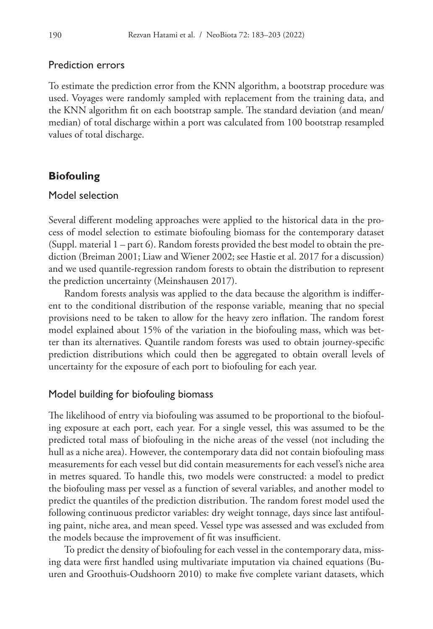#### Prediction errors

To estimate the prediction error from the KNN algorithm, a bootstrap procedure was used. Voyages were randomly sampled with replacement from the training data, and the KNN algorithm fit on each bootstrap sample. The standard deviation (and mean/ median) of total discharge within a port was calculated from 100 bootstrap resampled values of total discharge.

#### **Biofouling**

### Model selection

Several different modeling approaches were applied to the historical data in the process of model selection to estimate biofouling biomass for the contemporary dataset (Suppl. material 1 – part 6). Random forests provided the best model to obtain the prediction (Breiman 2001; Liaw and Wiener 2002; see Hastie et al. 2017 for a discussion) and we used quantile-regression random forests to obtain the distribution to represent the prediction uncertainty (Meinshausen 2017).

Random forests analysis was applied to the data because the algorithm is indifferent to the conditional distribution of the response variable, meaning that no special provisions need to be taken to allow for the heavy zero inflation. The random forest model explained about 15% of the variation in the biofouling mass, which was better than its alternatives. Quantile random forests was used to obtain journey-specific prediction distributions which could then be aggregated to obtain overall levels of uncertainty for the exposure of each port to biofouling for each year.

#### Model building for biofouling biomass

The likelihood of entry via biofouling was assumed to be proportional to the biofouling exposure at each port, each year. For a single vessel, this was assumed to be the predicted total mass of biofouling in the niche areas of the vessel (not including the hull as a niche area). However, the contemporary data did not contain biofouling mass measurements for each vessel but did contain measurements for each vessel's niche area in metres squared. To handle this, two models were constructed: a model to predict the biofouling mass per vessel as a function of several variables, and another model to predict the quantiles of the prediction distribution. The random forest model used the following continuous predictor variables: dry weight tonnage, days since last antifouling paint, niche area, and mean speed. Vessel type was assessed and was excluded from the models because the improvement of fit was insufficient.

To predict the density of biofouling for each vessel in the contemporary data, missing data were first handled using multivariate imputation via chained equations (Buuren and Groothuis-Oudshoorn 2010) to make five complete variant datasets, which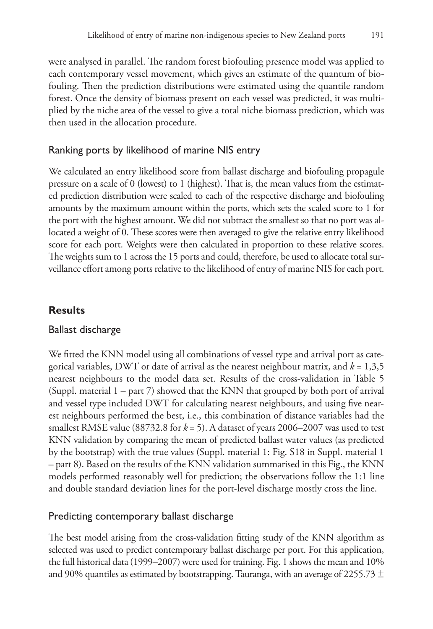were analysed in parallel. The random forest biofouling presence model was applied to each contemporary vessel movement, which gives an estimate of the quantum of biofouling. Then the prediction distributions were estimated using the quantile random forest. Once the density of biomass present on each vessel was predicted, it was multiplied by the niche area of the vessel to give a total niche biomass prediction, which was then used in the allocation procedure.

## Ranking ports by likelihood of marine NIS entry

We calculated an entry likelihood score from ballast discharge and biofouling propagule pressure on a scale of 0 (lowest) to 1 (highest). That is, the mean values from the estimated prediction distribution were scaled to each of the respective discharge and biofouling amounts by the maximum amount within the ports, which sets the scaled score to 1 for the port with the highest amount. We did not subtract the smallest so that no port was allocated a weight of 0. These scores were then averaged to give the relative entry likelihood score for each port. Weights were then calculated in proportion to these relative scores. The weights sum to 1 across the 15 ports and could, therefore, be used to allocate total surveillance effort among ports relative to the likelihood of entry of marine NIS for each port.

## **Results**

## Ballast discharge

We fitted the KNN model using all combinations of vessel type and arrival port as categorical variables, DWT or date of arrival as the nearest neighbour matrix, and  $k = 1,3,5$ nearest neighbours to the model data set. Results of the cross-validation in Table 5 (Suppl. material 1 – part 7) showed that the KNN that grouped by both port of arrival and vessel type included DWT for calculating nearest neighbours, and using five nearest neighbours performed the best, i.e., this combination of distance variables had the smallest RMSE value (88732.8 for  $k = 5$ ). A dataset of years 2006–2007 was used to test KNN validation by comparing the mean of predicted ballast water values (as predicted by the bootstrap) with the true values (Suppl. material 1: Fig. S18 in Suppl. material 1 – part 8). Based on the results of the KNN validation summarised in this Fig., the KNN models performed reasonably well for prediction; the observations follow the 1:1 line and double standard deviation lines for the port-level discharge mostly cross the line.

## Predicting contemporary ballast discharge

The best model arising from the cross-validation fitting study of the KNN algorithm as selected was used to predict contemporary ballast discharge per port. For this application, the full historical data (1999–2007) were used for training. Fig. 1 shows the mean and 10% and 90% quantiles as estimated by bootstrapping. Tauranga, with an average of 2255.73  $\pm$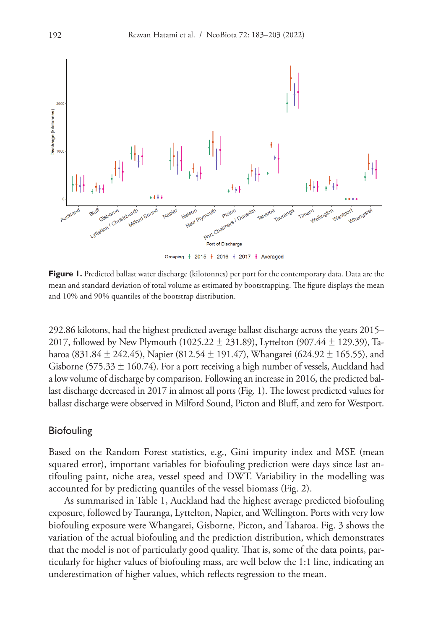

Grouping | 2015 | 2016 | 2017 | Averaged

Figure 1. Predicted ballast water discharge (kilotonnes) per port for the contemporary data. Data are the mean and standard deviation of total volume as estimated by bootstrapping. The figure displays the mean and 10% and 90% quantiles of the bootstrap distribution.

292.86 kilotons, had the highest predicted average ballast discharge across the years 2015– 2017, followed by New Plymouth (1025.22  $\pm$  231.89), Lyttelton (907.44  $\pm$  129.39), Taharoa (831.84  $\pm$  242.45), Napier (812.54  $\pm$  191.47), Whangarei (624.92  $\pm$  165.55), and Gisborne (575.33  $\pm$  160.74). For a port receiving a high number of vessels, Auckland had a low volume of discharge by comparison. Following an increase in 2016, the predicted ballast discharge decreased in 2017 in almost all ports (Fig. 1). The lowest predicted values for ballast discharge were observed in Milford Sound, Picton and Bluff, and zero for Westport.

#### **Biofouling**

Based on the Random Forest statistics, e.g., Gini impurity index and MSE (mean squared error), important variables for biofouling prediction were days since last antifouling paint, niche area, vessel speed and DWT. Variability in the modelling was accounted for by predicting quantiles of the vessel biomass (Fig. 2).

As summarised in Table 1, Auckland had the highest average predicted biofouling exposure, followed by Tauranga, Lyttelton, Napier, and Wellington. Ports with very low biofouling exposure were Whangarei, Gisborne, Picton, and Taharoa. Fig. 3 shows the variation of the actual biofouling and the prediction distribution, which demonstrates that the model is not of particularly good quality. That is, some of the data points, particularly for higher values of biofouling mass, are well below the 1:1 line, indicating an underestimation of higher values, which reflects regression to the mean.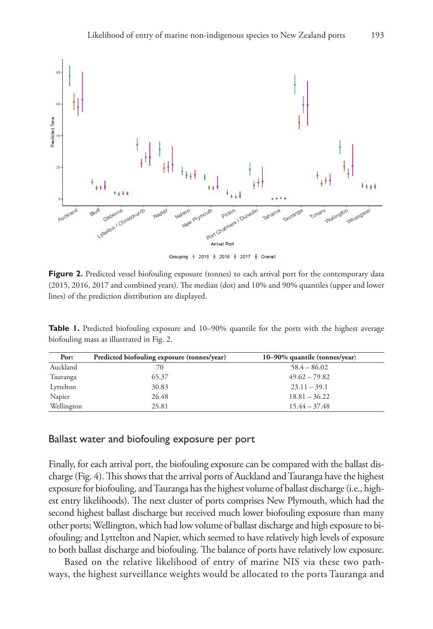

Figure 2. Predicted vessel biofouling exposure (tonnes) to each arrival port for the contemporary data (2015, 2016, 2017 and combined years). The median (dot) and 10% and 90% quantiles (upper and lower lines) of the prediction distribution are displayed.

**Table 1.** Predicted biofouling exposure and 10–90% quantile for the ports with the highest average biofouling mass as illustrated in Fig. 2.

| Port       | Predicted biofouling exposure (tonnes/year) | $10-90\%$ quantile (tonnes/year) |
|------------|---------------------------------------------|----------------------------------|
| Auckland   | 70                                          | $58.4 - 86.02$                   |
| Tauranga   | 65.37                                       | $49.62 - 79.82$                  |
| Lyttelton  | 30.83                                       | $23.11 - 39.1$                   |
| Napier     | 26.48                                       | $18.81 - 36.22$                  |
| Wellington | 25.81                                       | $15.44 - 37.48$                  |

#### Ballast water and biofouling exposure per port

Finally, for each arrival port, the biofouling exposure can be compared with the ballast discharge (Fig. 4). This shows that the arrival ports of Auckland and Tauranga have the highest exposure for biofouling, and Tauranga has the highest volume of ballast discharge (i.e., highest entry likelihoods). The next cluster of ports comprises New Plymouth, which had the second highest ballast discharge but received much lower biofouling exposure than many other ports; Wellington, which had low volume of ballast discharge and high exposure to biofouling; and Lyttelton and Napier, which seemed to have relatively high levels of exposure to both ballast discharge and biofouling. The balance of ports have relatively low exposure.

Based on the relative likelihood of entry of marine NIS via these two pathways, the highest surveillance weights would be allocated to the ports Tauranga and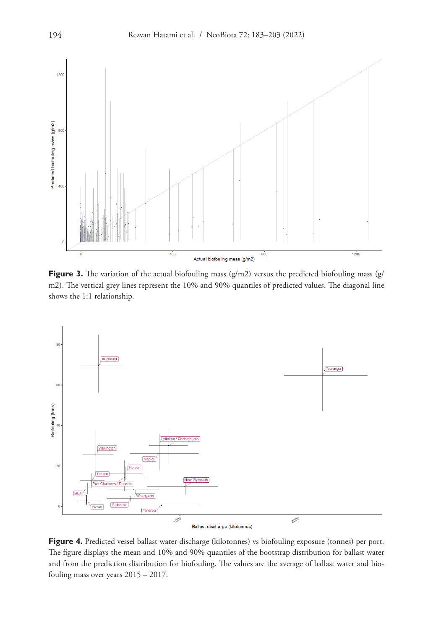

**Figure 3.** The variation of the actual biofouling mass (g/m2) versus the predicted biofouling mass (g/ m2). The vertical grey lines represent the 10% and 90% quantiles of predicted values. The diagonal line shows the 1:1 relationship.



**Figure 4.** Predicted vessel ballast water discharge (kilotonnes) vs biofouling exposure (tonnes) per port. The figure displays the mean and 10% and 90% quantiles of the bootstrap distribution for ballast water and from the prediction distribution for biofouling. The values are the average of ballast water and biofouling mass over years 2015 – 2017.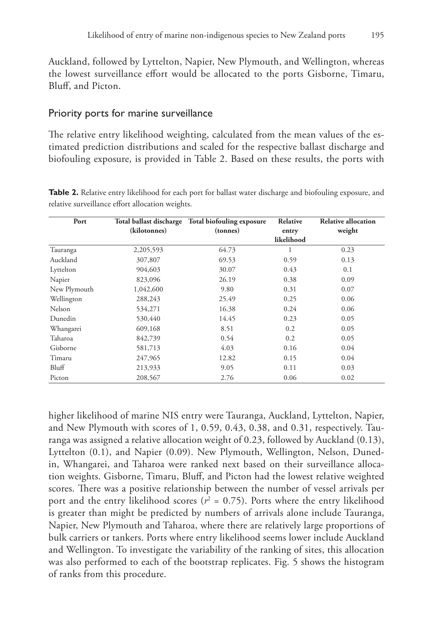Auckland, followed by Lyttelton, Napier, New Plymouth, and Wellington, whereas the lowest surveillance effort would be allocated to the ports Gisborne, Timaru, Bluff, and Picton.

#### Priority ports for marine surveillance

The relative entry likelihood weighting, calculated from the mean values of the estimated prediction distributions and scaled for the respective ballast discharge and biofouling exposure, is provided in Table 2. Based on these results, the ports with

| Port         | Total ballast discharge | Total biofouling exposure | Relative            | Relative allocation |
|--------------|-------------------------|---------------------------|---------------------|---------------------|
|              | (kilotonnes)            | (tonnes)                  | entry<br>likelihood | weight              |
|              |                         |                           |                     |                     |
| Auckland     | 307,807                 | 69.53                     | 0.59                | 0.13                |
| Lyttelton    | 904,603                 | 30.07                     | 0.43                | 0.1                 |
| Napier       | 823,096                 | 26.19                     | 0.38                | 0.09                |
| New Plymouth | 1,042,600               | 9.80                      | 0.31                | 0.07                |
| Wellington   | 288,243                 | 25.49                     | 0.25                | 0.06                |
| Nelson       | 534,271                 | 16.38                     | 0.24                | 0.06                |
| Dunedin      | 530,440                 | 14.45                     | 0.23                | 0.05                |

Whangarei 609,168 8.51 0.2 0.05 Taharoa 842,739 0.54 0.2 0.05 Gisborne 581,713 4.03 0.16 0.04 Timaru 247,965 12.82 0.15 0.04 Bluff 213,933 9.05 0.11 0.03 Picton 208,567 2.76 0.06 0.02

**Table 2.** Relative entry likelihood for each port for ballast water discharge and biofouling exposure, and relative surveillance effort allocation weights.

higher likelihood of marine NIS entry were Tauranga, Auckland, Lyttelton, Napier, and New Plymouth with scores of 1, 0.59, 0.43, 0.38, and 0.31, respectively. Tauranga was assigned a relative allocation weight of 0.23, followed by Auckland (0.13), Lyttelton (0.1), and Napier (0.09). New Plymouth, Wellington, Nelson, Dunedin, Whangarei, and Taharoa were ranked next based on their surveillance allocation weights. Gisborne, Timaru, Bluff, and Picton had the lowest relative weighted scores. There was a positive relationship between the number of vessel arrivals per port and the entry likelihood scores ( $r^2 = 0.75$ ). Ports where the entry likelihood is greater than might be predicted by numbers of arrivals alone include Tauranga, Napier, New Plymouth and Taharoa, where there are relatively large proportions of bulk carriers or tankers. Ports where entry likelihood seems lower include Auckland and Wellington. To investigate the variability of the ranking of sites, this allocation was also performed to each of the bootstrap replicates. Fig. 5 shows the histogram of ranks from this procedure.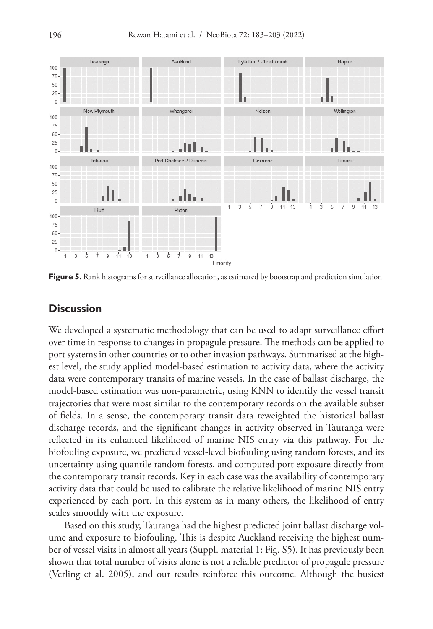

**Figure 5.** Rank histograms for surveillance allocation, as estimated by bootstrap and prediction simulation.

#### **Discussion**

We developed a systematic methodology that can be used to adapt surveillance effort over time in response to changes in propagule pressure. The methods can be applied to port systems in other countries or to other invasion pathways. Summarised at the highest level, the study applied model-based estimation to activity data, where the activity data were contemporary transits of marine vessels. In the case of ballast discharge, the model-based estimation was non-parametric, using KNN to identify the vessel transit trajectories that were most similar to the contemporary records on the available subset of fields. In a sense, the contemporary transit data reweighted the historical ballast discharge records, and the significant changes in activity observed in Tauranga were reflected in its enhanced likelihood of marine NIS entry via this pathway. For the biofouling exposure, we predicted vessel-level biofouling using random forests, and its uncertainty using quantile random forests, and computed port exposure directly from the contemporary transit records. Key in each case was the availability of contemporary activity data that could be used to calibrate the relative likelihood of marine NIS entry experienced by each port. In this system as in many others, the likelihood of entry scales smoothly with the exposure.

Based on this study, Tauranga had the highest predicted joint ballast discharge volume and exposure to biofouling. This is despite Auckland receiving the highest number of vessel visits in almost all years (Suppl. material 1: Fig. S5). It has previously been shown that total number of visits alone is not a reliable predictor of propagule pressure (Verling et al. 2005), and our results reinforce this outcome. Although the busiest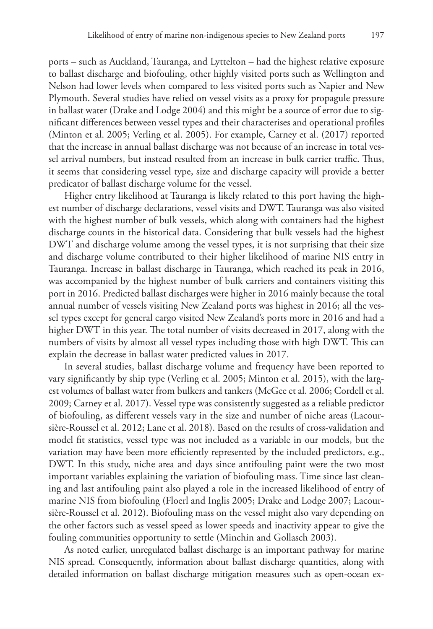ports – such as Auckland, Tauranga, and Lyttelton – had the highest relative exposure to ballast discharge and biofouling, other highly visited ports such as Wellington and Nelson had lower levels when compared to less visited ports such as Napier and New Plymouth. Several studies have relied on vessel visits as a proxy for propagule pressure in ballast water (Drake and Lodge 2004) and this might be a source of error due to significant differences between vessel types and their characterises and operational profiles (Minton et al. 2005; Verling et al. 2005). For example, Carney et al. (2017) reported that the increase in annual ballast discharge was not because of an increase in total vessel arrival numbers, but instead resulted from an increase in bulk carrier traffic. Thus, it seems that considering vessel type, size and discharge capacity will provide a better predicator of ballast discharge volume for the vessel.

Higher entry likelihood at Tauranga is likely related to this port having the highest number of discharge declarations, vessel visits and DWT. Tauranga was also visited with the highest number of bulk vessels, which along with containers had the highest discharge counts in the historical data. Considering that bulk vessels had the highest DWT and discharge volume among the vessel types, it is not surprising that their size and discharge volume contributed to their higher likelihood of marine NIS entry in Tauranga. Increase in ballast discharge in Tauranga, which reached its peak in 2016, was accompanied by the highest number of bulk carriers and containers visiting this port in 2016. Predicted ballast discharges were higher in 2016 mainly because the total annual number of vessels visiting New Zealand ports was highest in 2016; all the vessel types except for general cargo visited New Zealand's ports more in 2016 and had a higher DWT in this year. The total number of visits decreased in 2017, along with the numbers of visits by almost all vessel types including those with high DWT. This can explain the decrease in ballast water predicted values in 2017.

In several studies, ballast discharge volume and frequency have been reported to vary significantly by ship type (Verling et al. 2005; Minton et al. 2015), with the largest volumes of ballast water from bulkers and tankers (McGee et al. 2006; Cordell et al. 2009; Carney et al. 2017). Vessel type was consistently suggested as a reliable predictor of biofouling, as different vessels vary in the size and number of niche areas (Lacoursière-Roussel et al. 2012; Lane et al. 2018). Based on the results of cross-validation and model fit statistics, vessel type was not included as a variable in our models, but the variation may have been more efficiently represented by the included predictors, e.g., DWT. In this study, niche area and days since antifouling paint were the two most important variables explaining the variation of biofouling mass. Time since last cleaning and last antifouling paint also played a role in the increased likelihood of entry of marine NIS from biofouling (Floerl and Inglis 2005; Drake and Lodge 2007; Lacoursière-Roussel et al. 2012). Biofouling mass on the vessel might also vary depending on the other factors such as vessel speed as lower speeds and inactivity appear to give the fouling communities opportunity to settle (Minchin and Gollasch 2003).

As noted earlier, unregulated ballast discharge is an important pathway for marine NIS spread. Consequently, information about ballast discharge quantities, along with detailed information on ballast discharge mitigation measures such as open-ocean ex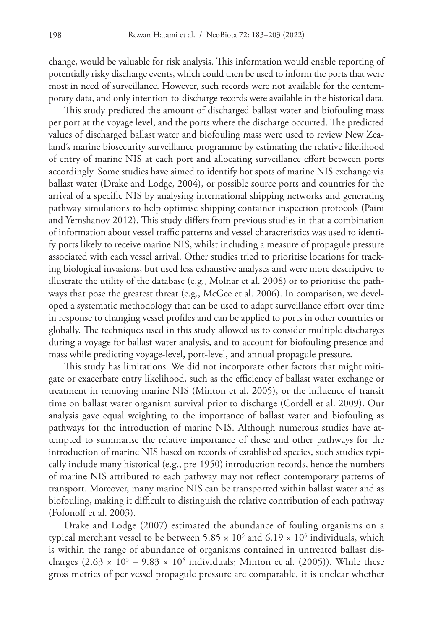change, would be valuable for risk analysis. This information would enable reporting of potentially risky discharge events, which could then be used to inform the ports that were most in need of surveillance. However, such records were not available for the contemporary data, and only intention-to-discharge records were available in the historical data.

This study predicted the amount of discharged ballast water and biofouling mass per port at the voyage level, and the ports where the discharge occurred. The predicted values of discharged ballast water and biofouling mass were used to review New Zealand's marine biosecurity surveillance programme by estimating the relative likelihood of entry of marine NIS at each port and allocating surveillance effort between ports accordingly. Some studies have aimed to identify hot spots of marine NIS exchange via ballast water (Drake and Lodge, 2004), or possible source ports and countries for the arrival of a specific NIS by analysing international shipping networks and generating pathway simulations to help optimise shipping container inspection protocols (Paini and Yemshanov 2012). This study differs from previous studies in that a combination of information about vessel traffic patterns and vessel characteristics was used to identify ports likely to receive marine NIS, whilst including a measure of propagule pressure associated with each vessel arrival. Other studies tried to prioritise locations for tracking biological invasions, but used less exhaustive analyses and were more descriptive to illustrate the utility of the database (e.g., Molnar et al. 2008) or to prioritise the pathways that pose the greatest threat (e.g., McGee et al. 2006). In comparison, we developed a systematic methodology that can be used to adapt surveillance effort over time in response to changing vessel profiles and can be applied to ports in other countries or globally. The techniques used in this study allowed us to consider multiple discharges during a voyage for ballast water analysis, and to account for biofouling presence and mass while predicting voyage-level, port-level, and annual propagule pressure.

This study has limitations. We did not incorporate other factors that might mitigate or exacerbate entry likelihood, such as the efficiency of ballast water exchange or treatment in removing marine NIS (Minton et al. 2005), or the influence of transit time on ballast water organism survival prior to discharge (Cordell et al. 2009). Our analysis gave equal weighting to the importance of ballast water and biofouling as pathways for the introduction of marine NIS. Although numerous studies have attempted to summarise the relative importance of these and other pathways for the introduction of marine NIS based on records of established species, such studies typically include many historical (e.g., pre-1950) introduction records, hence the numbers of marine NIS attributed to each pathway may not reflect contemporary patterns of transport. Moreover, many marine NIS can be transported within ballast water and as biofouling, making it difficult to distinguish the relative contribution of each pathway (Fofonoff et al. 2003).

Drake and Lodge (2007) estimated the abundance of fouling organisms on a typical merchant vessel to be between 5.85  $\times$  10<sup>5</sup> and 6.19  $\times$  10<sup>6</sup> individuals, which is within the range of abundance of organisms contained in untreated ballast discharges  $(2.63 \times 10^5 - 9.83 \times 10^6 \text{ individuals}; \text{Minton et al. } (2005)).$  While these gross metrics of per vessel propagule pressure are comparable, it is unclear whether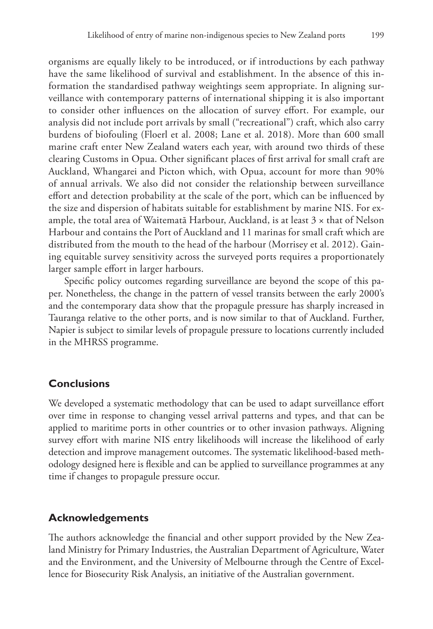organisms are equally likely to be introduced, or if introductions by each pathway have the same likelihood of survival and establishment. In the absence of this information the standardised pathway weightings seem appropriate. In aligning surveillance with contemporary patterns of international shipping it is also important to consider other influences on the allocation of survey effort. For example, our analysis did not include port arrivals by small ("recreational") craft, which also carry burdens of biofouling (Floerl et al. 2008; Lane et al. 2018). More than 600 small marine craft enter New Zealand waters each year, with around two thirds of these clearing Customs in Opua. Other significant places of first arrival for small craft are Auckland, Whangarei and Picton which, with Opua, account for more than 90% of annual arrivals. We also did not consider the relationship between surveillance effort and detection probability at the scale of the port, which can be influenced by the size and dispersion of habitats suitable for establishment by marine NIS. For example, the total area of Waitematā Harbour, Auckland, is at least  $3 \times$  that of Nelson Harbour and contains the Port of Auckland and 11 marinas for small craft which are distributed from the mouth to the head of the harbour (Morrisey et al. 2012). Gaining equitable survey sensitivity across the surveyed ports requires a proportionately larger sample effort in larger harbours.

Specific policy outcomes regarding surveillance are beyond the scope of this paper. Nonetheless, the change in the pattern of vessel transits between the early 2000's and the contemporary data show that the propagule pressure has sharply increased in Tauranga relative to the other ports, and is now similar to that of Auckland. Further, Napier is subject to similar levels of propagule pressure to locations currently included in the MHRSS programme.

## **Conclusions**

We developed a systematic methodology that can be used to adapt surveillance effort over time in response to changing vessel arrival patterns and types, and that can be applied to maritime ports in other countries or to other invasion pathways. Aligning survey effort with marine NIS entry likelihoods will increase the likelihood of early detection and improve management outcomes. The systematic likelihood-based methodology designed here is flexible and can be applied to surveillance programmes at any time if changes to propagule pressure occur.

### **Acknowledgements**

The authors acknowledge the financial and other support provided by the New Zealand Ministry for Primary Industries, the Australian Department of Agriculture, Water and the Environment, and the University of Melbourne through the Centre of Excellence for Biosecurity Risk Analysis, an initiative of the Australian government.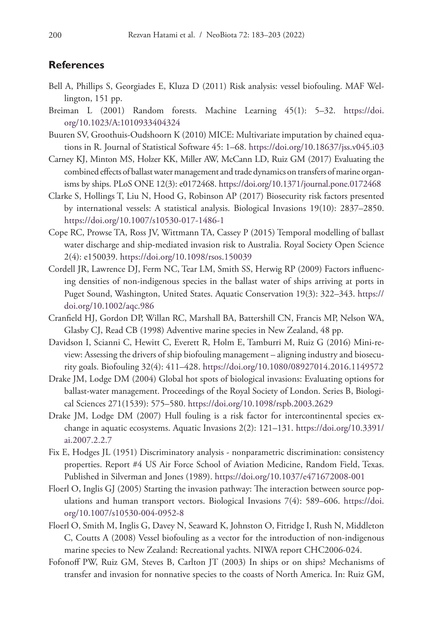#### **References**

- Bell A, Phillips S, Georgiades E, Kluza D (2011) Risk analysis: vessel biofouling. MAF Wellington, 151 pp.
- Breiman L (2001) Random forests. Machine Learning 45(1): 5–32. [https://doi.](https://doi.org/10.1023/A:1010933404324) [org/10.1023/A:1010933404324](https://doi.org/10.1023/A:1010933404324)
- Buuren SV, Groothuis-Oudshoorn K (2010) MICE: Multivariate imputation by chained equations in R. Journal of Statistical Software 45: 1–68. <https://doi.org/10.18637/jss.v045.i03>
- Carney KJ, Minton MS, Holzer KK, Miller AW, McCann LD, Ruiz GM (2017) Evaluating the combined effects of ballast water management and trade dynamics on transfers of marine organisms by ships. PLoS ONE 12(3): e0172468. <https://doi.org/10.1371/journal.pone.0172468>
- Clarke S, Hollings T, Liu N, Hood G, Robinson AP (2017) Biosecurity risk factors presented by international vessels: A statistical analysis. Biological Invasions 19(10): 2837–2850. <https://doi.org/10.1007/s10530-017-1486-1>
- Cope RC, Prowse TA, Ross JV, Wittmann TA, Cassey P (2015) Temporal modelling of ballast water discharge and ship-mediated invasion risk to Australia. Royal Society Open Science 2(4): e150039. <https://doi.org/10.1098/rsos.150039>
- Cordell JR, Lawrence DJ, Ferm NC, Tear LM, Smith SS, Herwig RP (2009) Factors influencing densities of non‐indigenous species in the ballast water of ships arriving at ports in Puget Sound, Washington, United States. Aquatic Conservation 19(3): 322–343. [https://](https://doi.org/10.1002/aqc.986) [doi.org/10.1002/aqc.986](https://doi.org/10.1002/aqc.986)
- Cranfield HJ, Gordon DP, Willan RC, Marshall BA, Battershill CN, Francis MP, Nelson WA, Glasby CJ, Read CB (1998) Adventive marine species in New Zealand, 48 pp.
- Davidson I, Scianni C, Hewitt C, Everett R, Holm E, Tamburri M, Ruiz G (2016) Mini-review: Assessing the drivers of ship biofouling management – aligning industry and biosecurity goals. Biofouling 32(4): 411–428.<https://doi.org/10.1080/08927014.2016.1149572>
- Drake JM, Lodge DM (2004) Global hot spots of biological invasions: Evaluating options for ballast-water management. Proceedings of the Royal Society of London. Series B, Biological Sciences 271(1539): 575–580.<https://doi.org/10.1098/rspb.2003.2629>
- Drake JM, Lodge DM (2007) Hull fouling is a risk factor for intercontinental species exchange in aquatic ecosystems. Aquatic Invasions 2(2): 121–131. [https://doi.org/10.3391/](https://doi.org/10.3391/ai.2007.2.2.7) [ai.2007.2.2.7](https://doi.org/10.3391/ai.2007.2.2.7)
- Fix E, Hodges JL (1951) Discriminatory analysis nonparametric discrimination: consistency properties. Report #4 US Air Force School of Aviation Medicine, Random Field, Texas. Published in Silverman and Jones (1989).<https://doi.org/10.1037/e471672008-001>
- Floerl O, Inglis GJ (2005) Starting the invasion pathway: The interaction between source populations and human transport vectors. Biological Invasions 7(4): 589–606. [https://doi.](https://doi.org/10.1007/s10530-004-0952-8) [org/10.1007/s10530-004-0952-8](https://doi.org/10.1007/s10530-004-0952-8)
- Floerl O, Smith M, Inglis G, Davey N, Seaward K, Johnston O, Fitridge I, Rush N, Middleton C, Coutts A (2008) Vessel biofouling as a vector for the introduction of non-indigenous marine species to New Zealand: Recreational yachts. NIWA report CHC2006-024.
- Fofonoff PW, Ruiz GM, Steves B, Carlton JT (2003) In ships or on ships? Mechanisms of transfer and invasion for nonnative species to the coasts of North America. In: Ruiz GM,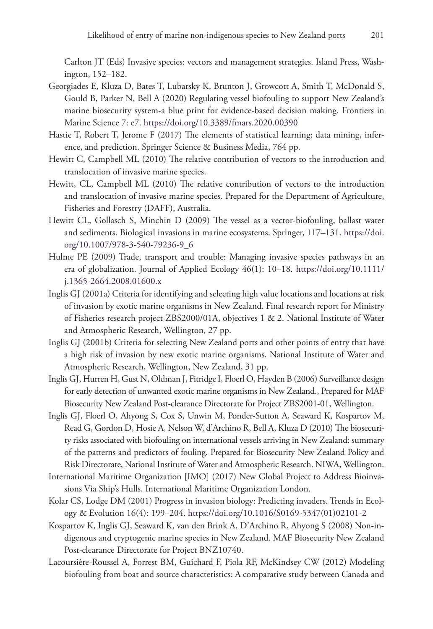Carlton JT (Eds) Invasive species: vectors and management strategies. Island Press, Washington, 152–182.

- Georgiades E, Kluza D, Bates T, Lubarsky K, Brunton J, Growcott A, Smith T, McDonald S, Gould B, Parker N, Bell A (2020) Regulating vessel biofouling to support New Zealand's marine biosecurity system-a blue print for evidence-based decision making. Frontiers in Marine Science 7: e7.<https://doi.org/10.3389/fmars.2020.00390>
- Hastie T, Robert T, Jerome F (2017) The elements of statistical learning: data mining, inference, and prediction. Springer Science & Business Media, 764 pp.
- Hewitt C, Campbell ML (2010) The relative contribution of vectors to the introduction and translocation of invasive marine species.
- Hewitt, CL, Campbell ML (2010) The relative contribution of vectors to the introduction and translocation of invasive marine species. Prepared for the Department of Agriculture, Fisheries and Forestry (DAFF), Australia.
- Hewitt CL, Gollasch S, Minchin D (2009) The vessel as a vector-biofouling, ballast water and sediments. Biological invasions in marine ecosystems. Springer, 117–131. [https://doi.](https://doi.org/10.1007/978-3-540-79236-9_6) [org/10.1007/978-3-540-79236-9\\_6](https://doi.org/10.1007/978-3-540-79236-9_6)
- Hulme PE (2009) Trade, transport and trouble: Managing invasive species pathways in an era of globalization. Journal of Applied Ecology 46(1): 10–18. [https://doi.org/10.1111/](https://doi.org/10.1111/j.1365-2664.2008.01600.x) [j.1365-2664.2008.01600.x](https://doi.org/10.1111/j.1365-2664.2008.01600.x)
- Inglis GJ (2001a) Criteria for identifying and selecting high value locations and locations at risk of invasion by exotic marine organisms in New Zealand. Final research report for Ministry of Fisheries research project ZBS2000/01A, objectives 1 & 2. National Institute of Water and Atmospheric Research, Wellington, 27 pp.
- Inglis GJ (2001b) Criteria for selecting New Zealand ports and other points of entry that have a high risk of invasion by new exotic marine organisms. National Institute of Water and Atmospheric Research, Wellington, New Zealand, 31 pp.
- Inglis GJ, Hurren H, Gust N, Oldman J, Fitridge I, Floerl O, Hayden B (2006) Surveillance design for early detection of unwanted exotic marine organisms in New Zealand., Prepared for MAF Biosecurity New Zealand Post-clearance Directorate for Project ZBS2001-01, Wellington.
- Inglis GJ, Floerl O, Ahyong S, Cox S, Unwin M, Ponder-Sutton A, Seaward K, Kospartov M, Read G, Gordon D, Hosie A, Nelson W, d'Archino R, Bell A, Kluza D (2010) The biosecurity risks associated with biofouling on international vessels arriving in New Zealand: summary of the patterns and predictors of fouling. Prepared for Biosecurity New Zealand Policy and Risk Directorate, National Institute of Water and Atmospheric Research. NIWA, Wellington.
- International Maritime Organization [IMO] (2017) New Global Project to Address Bioinvasions Via Ship's Hulls. International Maritime Organization London.
- Kolar CS, Lodge DM (2001) Progress in invasion biology: Predicting invaders. Trends in Ecology & Evolution 16(4): 199–204. [https://doi.org/10.1016/S0169-5347\(01\)02101-2](https://doi.org/10.1016/S0169-5347(01)02101-2)
- Kospartov K, Inglis GJ, Seaward K, van den Brink A, D'Archino R, Ahyong S (2008) Non-indigenous and cryptogenic marine species in New Zealand. MAF Biosecurity New Zealand Post-clearance Directorate for Project BNZ10740.
- Lacoursière-Roussel A, Forrest BM, Guichard F, Piola RF, McKindsey CW (2012) Modeling biofouling from boat and source characteristics: A comparative study between Canada and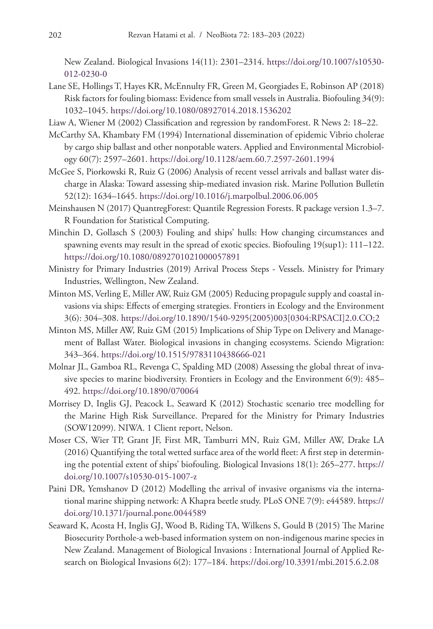New Zealand. Biological Invasions 14(11): 2301–2314. [https://doi.org/10.1007/s10530-](https://doi.org/10.1007/s10530-012-0230-0) [012-0230-0](https://doi.org/10.1007/s10530-012-0230-0)

- Lane SE, Hollings T, Hayes KR, McEnnulty FR, Green M, Georgiades E, Robinson AP (2018) Risk factors for fouling biomass: Evidence from small vessels in Australia. Biofouling 34(9): 1032–1045.<https://doi.org/10.1080/08927014.2018.1536202>
- Liaw A, Wiener M (2002) Classification and regression by randomForest. R News 2: 18–22.
- McCarthy SA, Khambaty FM (1994) International dissemination of epidemic Vibrio cholerae by cargo ship ballast and other nonpotable waters. Applied and Environmental Microbiology 60(7): 2597–2601.<https://doi.org/10.1128/aem.60.7.2597-2601.1994>
- McGee S, Piorkowski R, Ruiz G (2006) Analysis of recent vessel arrivals and ballast water discharge in Alaska: Toward assessing ship-mediated invasion risk. Marine Pollution Bulletin 52(12): 1634–1645. <https://doi.org/10.1016/j.marpolbul.2006.06.005>
- Meinshausen N (2017) QuantregForest: Quantile Regression Forests. R package version 1.3–7. R Foundation for Statistical Computing.
- Minchin D, Gollasch S (2003) Fouling and ships' hulls: How changing circumstances and spawning events may result in the spread of exotic species. Biofouling 19(sup1): 111–122. <https://doi.org/10.1080/0892701021000057891>
- Ministry for Primary Industries (2019) Arrival Process Steps Vessels. Ministry for Primary Industries, Wellington, New Zealand.
- Minton MS, Verling E, Miller AW, Ruiz GM (2005) Reducing propagule supply and coastal invasions via ships: Effects of emerging strategies. Frontiers in Ecology and the Environment 3(6): 304–308. [https://doi.org/10.1890/1540-9295\(2005\)003\[0304:RPSACI\]2.0.CO;2](https://doi.org/10.1890/1540-9295(2005)003%5B0304:RPSACI%5D2.0.CO;2)
- Minton MS, Miller AW, Ruiz GM (2015) Implications of Ship Type on Delivery and Management of Ballast Water. Biological invasions in changing ecosystems. Sciendo Migration: 343–364.<https://doi.org/10.1515/9783110438666-021>
- Molnar JL, Gamboa RL, Revenga C, Spalding MD (2008) Assessing the global threat of invasive species to marine biodiversity. Frontiers in Ecology and the Environment 6(9): 485– 492.<https://doi.org/10.1890/070064>
- Morrisey D, Inglis GJ, Peacock L, Seaward K (2012) Stochastic scenario tree modelling for the Marine High Risk Surveillance. Prepared for the Ministry for Primary Industries (SOW12099). NIWA. 1 Client report, Nelson.
- Moser CS, Wier TP, Grant JF, First MR, Tamburri MN, Ruiz GM, Miller AW, Drake LA (2016) Quantifying the total wetted surface area of the world fleet: A first step in determining the potential extent of ships' biofouling. Biological Invasions 18(1): 265–277. [https://](https://doi.org/10.1007/s10530-015-1007-z) [doi.org/10.1007/s10530-015-1007-z](https://doi.org/10.1007/s10530-015-1007-z)
- Paini DR, Yemshanov D (2012) Modelling the arrival of invasive organisms via the international marine shipping network: A Khapra beetle study. PLoS ONE 7(9): e44589. [https://](https://doi.org/10.1371/journal.pone.0044589) [doi.org/10.1371/journal.pone.0044589](https://doi.org/10.1371/journal.pone.0044589)
- Seaward K, Acosta H, Inglis GJ, Wood B, Riding TA, Wilkens S, Gould B (2015) The Marine Biosecurity Porthole-a web-based information system on non-indigenous marine species in New Zealand. Management of Biological Invasions : International Journal of Applied Research on Biological Invasions 6(2): 177–184. <https://doi.org/10.3391/mbi.2015.6.2.08>